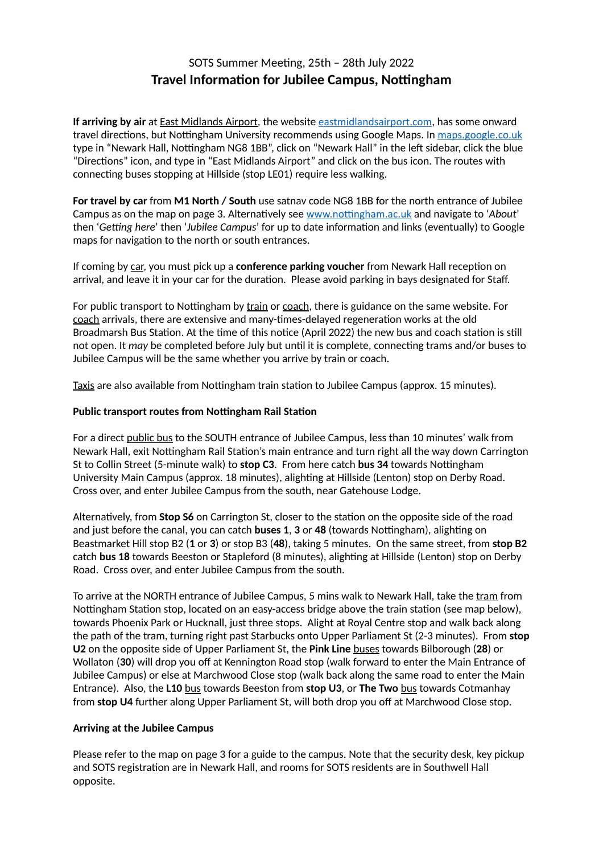## SOTS Summer Meeting, 25th - 28th July 2022 **Travel Information for Jubilee Campus, Nottingham**

**If arriving by air** at East Midlands Airport, the website [eastmidlandsairport.com](http://eastmidlandsairport.com), has some onward travel directions, but Nottingham University recommends using Google Maps. In [maps.google.co.uk](http://maps.google.co.uk) type in "Newark Hall, Nottingham NG8 1BB", click on "Newark Hall" in the left sidebar, click the blue "Directions" icon, and type in "East Midlands Airport" and click on the bus icon. The routes with connecting buses stopping at Hillside (stop LE01) require less walking.

**For travel by car** from **M1 North / South** use satnav code NG8 1BB for the north entrance of Jubilee Campus as on the map on page 3. Alternatively see www.nottingham.ac.uk and navigate to '*About'* then '*Getting here*' then '*Jubilee Campus*' for up to date information and links (eventually) to Google maps for navigation to the north or south entrances.

If coming by car, you must pick up a **conference parking voucher** from Newark Hall reception on arrival, and leave it in your car for the duration. Please avoid parking in bays designated for Staff.

For public transport to Nottingham by train or coach, there is guidance on the same website. For coach arrivals, there are extensive and many-times-delayed regeneration works at the old Broadmarsh Bus Station. At the time of this notice (April 2022) the new bus and coach station is still not open. It *may* be completed before July but until it is complete, connecting trams and/or buses to Jubilee Campus will be the same whether you arrive by train or coach.

Taxis are also available from Nottingham train station to Jubilee Campus (approx. 15 minutes).

## **Public transport routes from Nottingham Rail Station**

For a direct public bus to the SOUTH entrance of Jubilee Campus, less than 10 minutes' walk from Newark Hall, exit Nottingham Rail Station's main entrance and turn right all the way down Carrington St to Collin Street (5-minute walk) to stop C3. From here catch bus 34 towards Nottingham University Main Campus (approx. 18 minutes), alighting at Hillside (Lenton) stop on Derby Road. Cross over, and enter Jubilee Campus from the south, near Gatehouse Lodge.

Alternatively, from **Stop S6** on Carrington St, closer to the station on the opposite side of the road and just before the canal, you can catch **buses 1**, **3** or 48 (towards Nottingham), alighting on Beastmarket Hill stop B2 (**1** or **3**) or stop B3 (**48**), taking 5 minutes. On the same street, from **stop B2** catch **bus 18** towards Beeston or Stapleford (8 minutes), alighting at Hillside (Lenton) stop on Derby Road. Cross over, and enter Jubilee Campus from the south.

To arrive at the NORTH entrance of Jubilee Campus, 5 mins walk to Newark Hall, take the tram from Nottingham Station stop, located on an easy-access bridge above the train station (see map below), towards Phoenix Park or Hucknall, just three stops. Alight at Royal Centre stop and walk back along the path of the tram, turning right past Starbucks onto Upper Parliament St (2-3 minutes). From **stop U2** on the opposite side of Upper Parliament St, the **Pink Line** buses towards Bilborough (**28**) or Wollaton (**30**) will drop you off at Kennington Road stop (walk forward to enter the Main Entrance of Jubilee Campus) or else at Marchwood Close stop (walk back along the same road to enter the Main Entrance). Also, the **L10** bus towards Beeston from **stop U3**, or **The Two** bus towards Cotmanhay from **stop U4** further along Upper Parliament St, will both drop you off at Marchwood Close stop.

## **Arriving at the Jubilee Campus**

Please refer to the map on page 3 for a guide to the campus. Note that the security desk, key pickup and SOTS registration are in Newark Hall, and rooms for SOTS residents are in Southwell Hall opposite.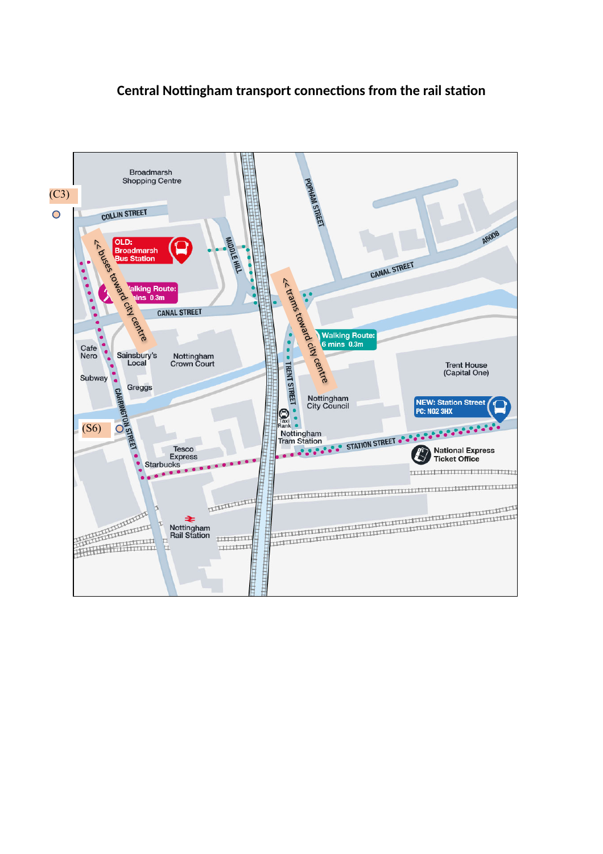## **Central Nottingham transport connections from the rail station**